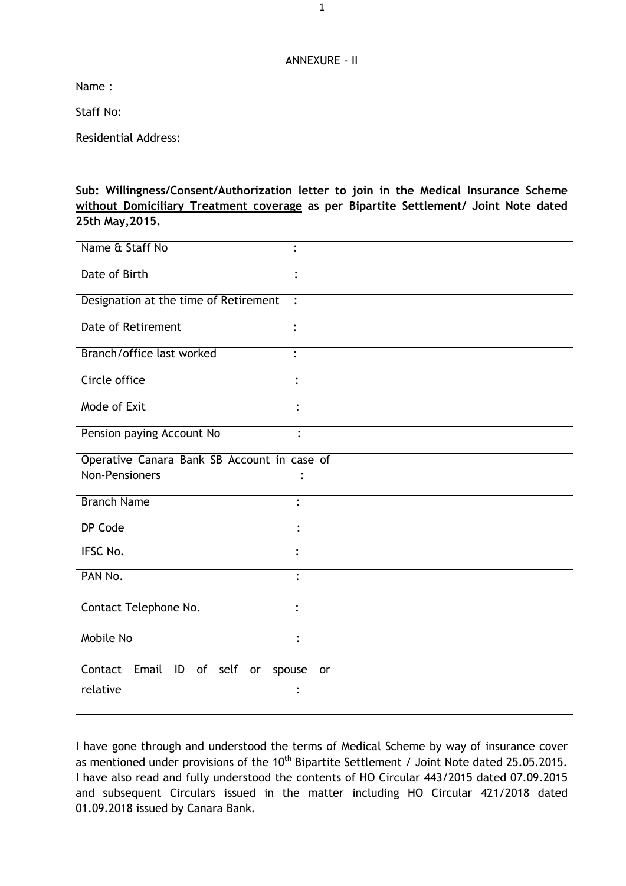## ANNEXURE - II

Name :

Staff No:

Residential Address:

**Sub: Willingness/Consent/Authorization letter to join in the Medical Insurance Scheme without Domiciliary Treatment coverage as per Bipartite Settlement/ Joint Note dated 25th May,2015.**

| Name & Staff No                             |                      |
|---------------------------------------------|----------------------|
| Date of Birth                               | $\ddot{\cdot}$       |
| Designation at the time of Retirement       | $\ddot{\phantom{a}}$ |
| <b>Date of Retirement</b>                   | ٠                    |
| Branch/office last worked                   |                      |
| Circle office                               |                      |
| Mode of Exit                                | $\ddot{\cdot}$       |
| Pension paying Account No                   | $\ddot{\cdot}$       |
| Operative Canara Bank SB Account in case of |                      |
| <b>Non-Pensioners</b>                       |                      |
| <b>Branch Name</b>                          |                      |
| DP Code                                     |                      |
| IFSC No.                                    |                      |
| PAN No.                                     | $\bullet$            |
| Contact Telephone No.                       | $\ddot{\cdot}$       |
| Mobile No                                   |                      |
| Contact<br>Email ID of self<br>or           | spouse<br>or         |
| relative                                    |                      |

I have gone through and understood the terms of Medical Scheme by way of insurance cover as mentioned under provisions of the 10<sup>th</sup> Bipartite Settlement / Joint Note dated 25.05.2015. I have also read and fully understood the contents of HO Circular 443/2015 dated 07.09.2015 and subsequent Circulars issued in the matter including HO Circular 421/2018 dated 01.09.2018 issued by Canara Bank.